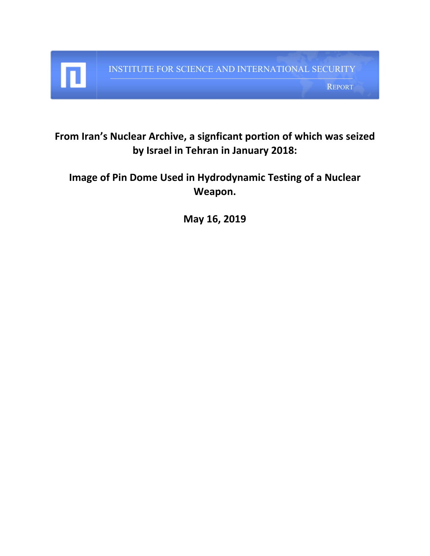INSTITUTE FOR SCIENCE AND INTERNATIONAL SECURITY **REPORT** 

**From Iran's Nuclear Archive, a signficant portion of which was seized by Israel in Tehran in January 2018:**

**Image of Pin Dome Used in Hydrodynamic Testing of a Nuclear Weapon.**

**May 16, 2019**